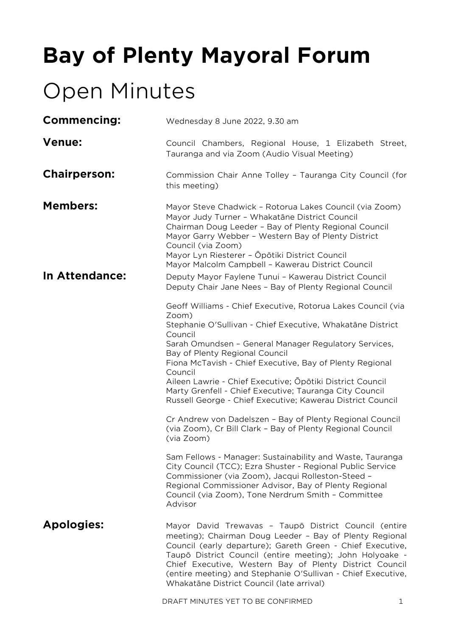# **Bay of Plenty Mayoral Forum**

# Open Minutes

| Commencing:           | Wednesday 8 June 2022, 9.30 am                                                                                                                                                                                                                                                                                                                                                                                                                                                                                                                                                                                                                 |
|-----------------------|------------------------------------------------------------------------------------------------------------------------------------------------------------------------------------------------------------------------------------------------------------------------------------------------------------------------------------------------------------------------------------------------------------------------------------------------------------------------------------------------------------------------------------------------------------------------------------------------------------------------------------------------|
| <b>Venue:</b>         | Council Chambers, Regional House, 1 Elizabeth Street,<br>Tauranga and via Zoom (Audio Visual Meeting)                                                                                                                                                                                                                                                                                                                                                                                                                                                                                                                                          |
| <b>Chairperson:</b>   | Commission Chair Anne Tolley - Tauranga City Council (for<br>this meeting)                                                                                                                                                                                                                                                                                                                                                                                                                                                                                                                                                                     |
| <b>Members:</b>       | Mayor Steve Chadwick - Rotorua Lakes Council (via Zoom)<br>Mayor Judy Turner - Whakatāne District Council<br>Chairman Doug Leeder - Bay of Plenty Regional Council<br>Mayor Garry Webber - Western Bay of Plenty District<br>Council (via Zoom)<br>Mayor Lyn Riesterer - Ōpōtiki District Council<br>Mayor Malcolm Campbell - Kawerau District Council                                                                                                                                                                                                                                                                                         |
| <b>In Attendance:</b> | Deputy Mayor Faylene Tunui - Kawerau District Council<br>Deputy Chair Jane Nees - Bay of Plenty Regional Council                                                                                                                                                                                                                                                                                                                                                                                                                                                                                                                               |
|                       | Geoff Williams - Chief Executive, Rotorua Lakes Council (via<br>Zoom)<br>Stephanie O'Sullivan - Chief Executive, Whakatāne District<br>Council<br>Sarah Omundsen - General Manager Regulatory Services,<br>Bay of Plenty Regional Council<br>Fiona McTavish - Chief Executive, Bay of Plenty Regional<br>Council<br>Aileen Lawrie - Chief Executive; Opōtiki District Council<br>Marty Grenfell - Chief Executive; Tauranga City Council<br>Russell George - Chief Executive; Kawerau District Council<br>Cr Andrew von Dadelszen - Bay of Plenty Regional Council<br>(via Zoom), Cr Bill Clark - Bay of Plenty Regional Council<br>(via Zoom) |
|                       | Sam Fellows - Manager: Sustainability and Waste, Tauranga<br>City Council (TCC); Ezra Shuster - Regional Public Service<br>Commissioner (via Zoom), Jacqui Rolleston-Steed -<br>Regional Commissioner Advisor, Bay of Plenty Regional<br>Council (via Zoom), Tone Nerdrum Smith - Committee<br>Advisor                                                                                                                                                                                                                                                                                                                                         |
| <b>Apologies:</b>     | Mayor David Trewavas - Taupō District Council (entire<br>meeting); Chairman Doug Leeder - Bay of Plenty Regional<br>Council (early departure); Gareth Green - Chief Executive,<br>Taupō District Council (entire meeting); John Holyoake -<br>Chief Executive, Western Bay of Plenty District Council<br>(entire meeting) and Stephanie O'Sullivan - Chief Executive,<br>Whakatāne District Council (late arrival)                                                                                                                                                                                                                             |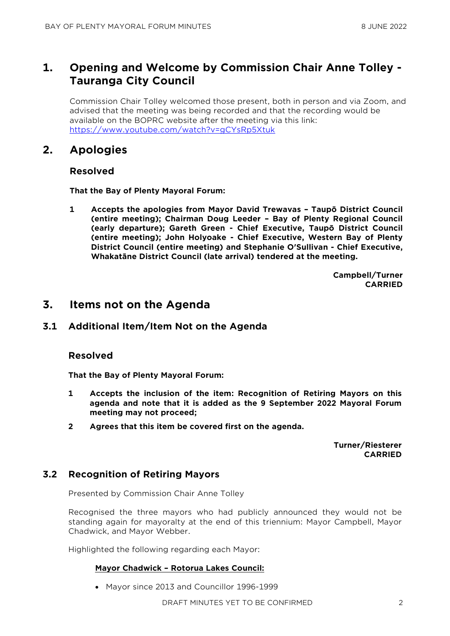# **1. Opening and Welcome by Commission Chair Anne Tolley - Tauranga City Council**

Commission Chair Tolley welcomed those present, both in person and via Zoom, and advised that the meeting was being recorded and that the recording would be available on the BOPRC website after the meeting via this link: <https://www.youtube.com/watch?v=gCYsRp5Xtuk>

# **2. Apologies**

## **Resolved**

**That the Bay of Plenty Mayoral Forum:**

**1 Accepts the apologies from Mayor David Trewavas – Taupō District Council (entire meeting); Chairman Doug Leeder – Bay of Plenty Regional Council (early departure); Gareth Green - Chief Executive, Taupō District Council (entire meeting); John Holyoake - Chief Executive, Western Bay of Plenty District Council (entire meeting) and Stephanie O'Sullivan - Chief Executive, Whakatāne District Council (late arrival) tendered at the meeting.**

> **Campbell/Turner CARRIED**

## **3. Items not on the Agenda**

## **3.1 Additional Item/Item Not on the Agenda**

## **Resolved**

**That the Bay of Plenty Mayoral Forum:**

- **1 Accepts the inclusion of the item: Recognition of Retiring Mayors on this agenda and note that it is added as the 9 September 2022 Mayoral Forum meeting may not proceed;**
- **2 Agrees that this item be covered first on the agenda.**

**Turner/Riesterer CARRIED**

## **3.2 Recognition of Retiring Mayors**

Presented by Commission Chair Anne Tolley

Recognised the three mayors who had publicly announced they would not be standing again for mayoralty at the end of this triennium: Mayor Campbell, Mayor Chadwick, and Mayor Webber.

Highlighted the following regarding each Mayor:

#### **Mayor Chadwick – Rotorua Lakes Council:**

• Mayor since 2013 and Councillor 1996-1999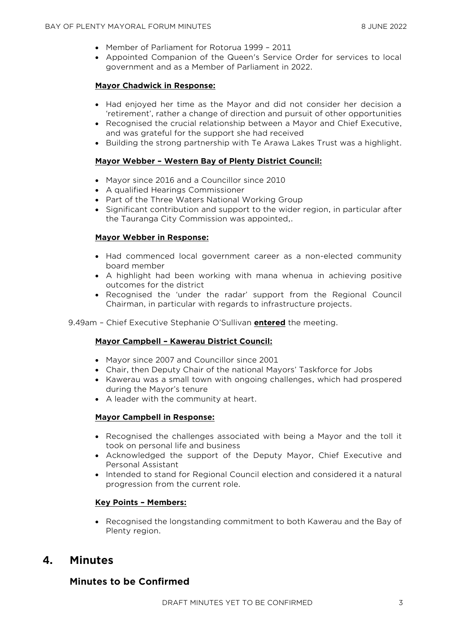- Member of Parliament for Rotorua 1999 2011
- Appointed Companion of the Queen's Service Order for services to local government and as a Member of Parliament in 2022.

## **Mayor Chadwick in Response:**

- Had enjoyed her time as the Mayor and did not consider her decision a 'retirement', rather a change of direction and pursuit of other opportunities
- Recognised the crucial relationship between a Mayor and Chief Executive, and was grateful for the support she had received
- Building the strong partnership with Te Arawa Lakes Trust was a highlight.

## **Mayor Webber – Western Bay of Plenty District Council:**

- Mayor since 2016 and a Councillor since 2010
- A qualified Hearings Commissioner
- Part of the Three Waters National Working Group
- Significant contribution and support to the wider region, in particular after the Tauranga City Commission was appointed,.

## **Mayor Webber in Response:**

- Had commenced local government career as a non-elected community board member
- A highlight had been working with mana whenua in achieving positive outcomes for the district
- Recognised the 'under the radar' support from the Regional Council Chairman, in particular with regards to infrastructure projects.

9.49am – Chief Executive Stephanie O'Sullivan **entered** the meeting.

#### **Mayor Campbell – Kawerau District Council:**

- Mayor since 2007 and Councillor since 2001
- Chair, then Deputy Chair of the national Mayors' Taskforce for Jobs
- Kawerau was a small town with ongoing challenges, which had prospered during the Mayor's tenure
- A leader with the community at heart.

#### **Mayor Campbell in Response:**

- Recognised the challenges associated with being a Mayor and the toll it took on personal life and business
- Acknowledged the support of the Deputy Mayor, Chief Executive and Personal Assistant
- Intended to stand for Regional Council election and considered it a natural progression from the current role.

## **Key Points – Members:**

• Recognised the longstanding commitment to both Kawerau and the Bay of Plenty region.

# **4. Minutes**

## **Minutes to be Confirmed**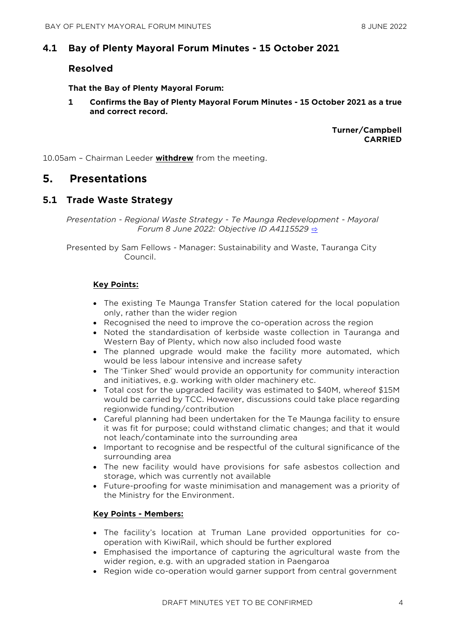## **4.1 Bay of Plenty Mayoral Forum Minutes - 15 October 2021**

## **Resolved**

**That the Bay of Plenty Mayoral Forum:**

**1 Confirms the Bay of Plenty Mayoral Forum Minutes - 15 October 2021 as a true and correct record.**

> **Turner/Campbell CARRIED**

10.05am – Chairman Leeder **withdrew** from the meeting.

## **5. Presentations**

## **5.1 Trade Waste Strategy**

*Presentation - Regional Waste Strategy - Te Maunga Redevelopment - Mayoral Forum 8 June 2022: Objective ID A4115529* [⇨](../../../RedirectToInvalidFileName.aspx?FileName=MFMCC_20220608_MAT_3527.PDF#PAGE=2)

Presented by Sam Fellows - Manager: Sustainability and Waste, Tauranga City Council.

## **Key Points:**

- The existing Te Maunga Transfer Station catered for the local population only, rather than the wider region
- Recognised the need to improve the co-operation across the region
- Noted the standardisation of kerbside waste collection in Tauranga and Western Bay of Plenty, which now also included food waste
- The planned upgrade would make the facility more automated, which would be less labour intensive and increase safety
- The 'Tinker Shed' would provide an opportunity for community interaction and initiatives, e.g. working with older machinery etc.
- Total cost for the upgraded facility was estimated to \$40M, whereof \$15M would be carried by TCC. However, discussions could take place regarding regionwide funding/contribution
- Careful planning had been undertaken for the Te Maunga facility to ensure it was fit for purpose; could withstand climatic changes; and that it would not leach/contaminate into the surrounding area
- Important to recognise and be respectful of the cultural significance of the surrounding area
- The new facility would have provisions for safe asbestos collection and storage, which was currently not available
- Future-proofing for waste minimisation and management was a priority of the Ministry for the Environment.

#### **Key Points - Members:**

- The facility's location at Truman Lane provided opportunities for cooperation with KiwiRail, which should be further explored
- Emphasised the importance of capturing the agricultural waste from the wider region, e.g. with an upgraded station in Paengaroa
- Region wide co-operation would garner support from central government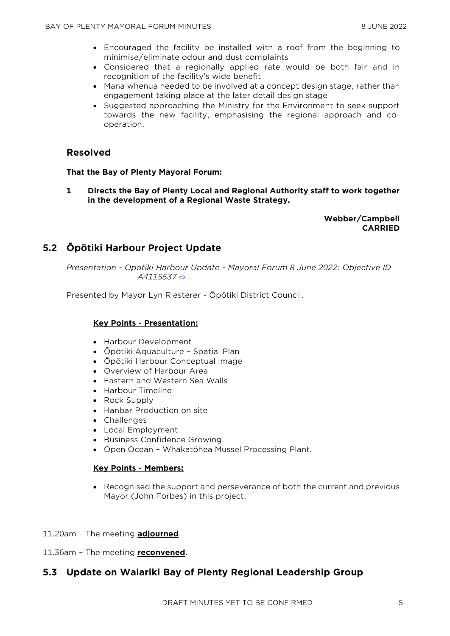- Encouraged the facility be installed with a roof from the beginning to minimise/eliminate odour and dust complaints
- Considered that a regionally applied rate would be both fair and in recognition of the facility's wide benefit
- Mana whenua needed to be involved at a concept design stage, rather than engagement taking place at the later detail design stage
- Suggested approaching the Ministry for the Environment to seek support towards the new facility, emphasising the regional approach and cooperation.

## **Resolved**

#### **That the Bay of Plenty Mayoral Forum:**

**1 Directs the Bay of Plenty Local and Regional Authority staff to work together in the development of a Regional Waste Strategy.**

## **Webber/Campbell CARRIED**

# **5.2 Ōpōtiki Harbour Project Update**

*Presentation - Opotiki Harbour Update - Mayoral Forum 8 June 2022: Objective ID A4115537* [⇨](../../../RedirectToInvalidFileName.aspx?FileName=MFMCC_20220608_MAT_3527.PDF#PAGE=18)

Presented by Mayor Lyn Riesterer - Ōpōtiki District Council.

## **Key Points - Presentation:**

- Harbour Development
- Ōpōtiki Aquaculture Spatial Plan
- Ōpōtiki Harbour Conceptual Image
- Overview of Harbour Area
- Eastern and Western Sea Walls
- Harbour Timeline
- Rock Supply
- Hanbar Production on site
- Challenges
- Local Employment
- Business Confidence Growing
- Open Ocean Whakatōhea Mussel Processing Plant.

#### **Key Points - Members:**

• Recognised the support and perseverance of both the current and previous Mayor (John Forbes) in this project.

#### 11.20am – The meeting **adjourned**.

11.36am – The meeting **reconvened**.

## **5.3 Update on Waiariki Bay of Plenty Regional Leadership Group**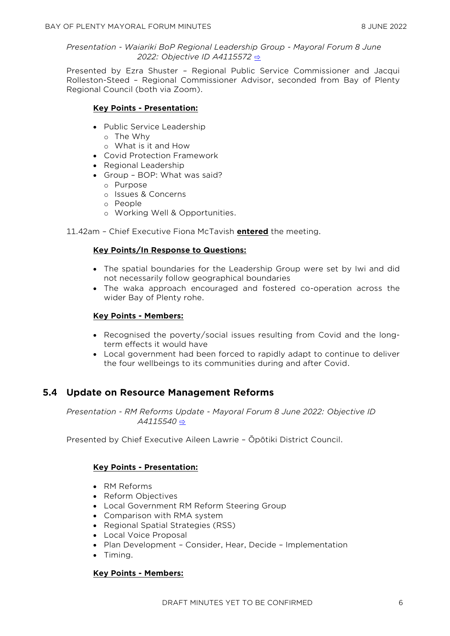#### *Presentation - Waiariki BoP Regional Leadership Group - Mayoral Forum 8 June 2022: Objective ID A4115572* [⇨](../../../RedirectToInvalidFileName.aspx?FileName=MFMCC_20220608_MAT_3527.PDF#PAGE=36)

Presented by Ezra Shuster – Regional Public Service Commissioner and Jacqui Rolleston-Steed – Regional Commissioner Advisor, seconded from Bay of Plenty Regional Council (both via Zoom).

## **Key Points - Presentation:**

- Public Service Leadership
	- o The Why
	- o What is it and How
- Covid Protection Framework
- Regional Leadership
- Group BOP: What was said?
	- o Purpose
	- o Issues & Concerns
	- o People
	- o Working Well & Opportunities.

11.42am – Chief Executive Fiona McTavish **entered** the meeting.

## **Key Points/In Response to Questions:**

- The spatial boundaries for the Leadership Group were set by Iwi and did not necessarily follow geographical boundaries
- The waka approach encouraged and fostered co-operation across the wider Bay of Plenty rohe.

## **Key Points - Members:**

- Recognised the poverty/social issues resulting from Covid and the longterm effects it would have
- Local government had been forced to rapidly adapt to continue to deliver the four wellbeings to its communities during and after Covid.

## **5.4 Update on Resource Management Reforms**

*Presentation - RM Reforms Update - Mayoral Forum 8 June 2022: Objective ID A4115540* [⇨](../../../RedirectToInvalidFileName.aspx?FileName=MFMCC_20220608_MAT_3527.PDF#PAGE=46)

Presented by Chief Executive Aileen Lawrie – Ōpōtiki District Council.

## **Key Points - Presentation:**

- RM Reforms
- Reform Objectives
- Local Government RM Reform Steering Group
- Comparison with RMA system
- Regional Spatial Strategies (RSS)
- Local Voice Proposal
- Plan Development Consider, Hear, Decide Implementation
- Timing.

#### **Key Points - Members:**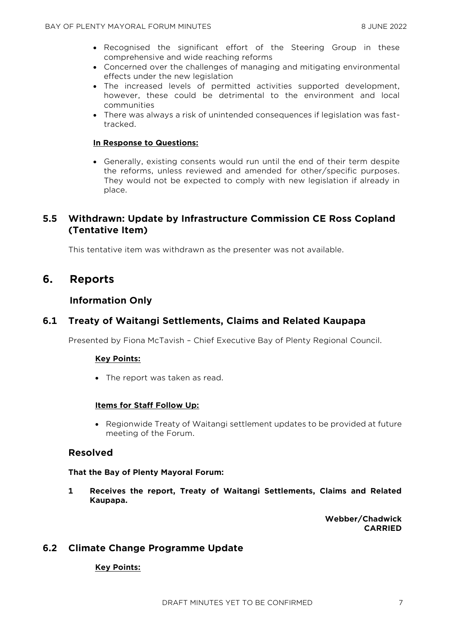- Recognised the significant effort of the Steering Group in these comprehensive and wide reaching reforms
- Concerned over the challenges of managing and mitigating environmental effects under the new legislation
- The increased levels of permitted activities supported development, however, these could be detrimental to the environment and local communities
- There was always a risk of unintended consequences if legislation was fasttracked.

#### **In Response to Questions:**

• Generally, existing consents would run until the end of their term despite the reforms, unless reviewed and amended for other/specific purposes. They would not be expected to comply with new legislation if already in place.

## **5.5 Withdrawn: Update by Infrastructure Commission CE Ross Copland (Tentative Item)**

This tentative item was withdrawn as the presenter was not available.

## **6. Reports**

## **Information Only**

## **6.1 Treaty of Waitangi Settlements, Claims and Related Kaupapa**

Presented by Fiona McTavish – Chief Executive Bay of Plenty Regional Council.

#### **Key Points:**

• The report was taken as read.

#### **Items for Staff Follow Up:**

• Regionwide Treaty of Waitangi settlement updates to be provided at future meeting of the Forum.

#### **Resolved**

#### **That the Bay of Plenty Mayoral Forum:**

**1 Receives the report, Treaty of Waitangi Settlements, Claims and Related Kaupapa.**

> **Webber/Chadwick CARRIED**

## **6.2 Climate Change Programme Update**

#### **Key Points:**